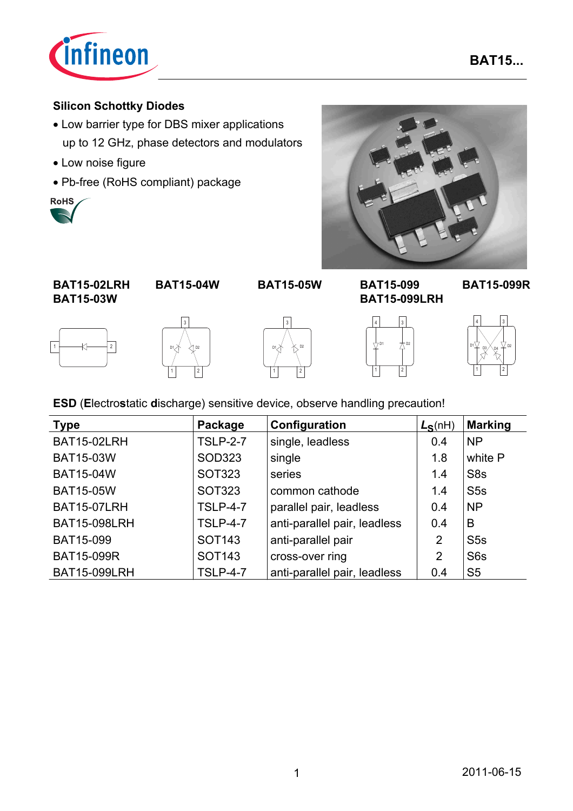

## **Silicon Schottky Diodes**

- Low barrier type for DBS mixer applications up to 12 GHz, phase detectors and modulators
- Low noise figure
- Pb-free (RoHS compliant) package





**BAT15-02LRH BAT15-03W**

**BAT15-05W BAT15-099 BAT15-04W BAT15-099R**











**BAT15-099LRH**



**ESD** (**E**lectro**s**tatic **d**ischarge) sensitive device, observe handling precaution!

| <b>Type</b>         | Package            | Configuration                | $L_S(nH)$ | <b>Marking</b>   |
|---------------------|--------------------|------------------------------|-----------|------------------|
| BAT15-02LRH         | <b>TSLP-2-7</b>    | single, leadless             | 0.4       | <b>NP</b>        |
| <b>BAT15-03W</b>    | SOD323             | single                       | 1.8       | white P          |
| <b>BAT15-04W</b>    | <b>SOT323</b>      | series                       | 1.4       | S <sub>8</sub> s |
| <b>BAT15-05W</b>    | <b>SOT323</b>      | common cathode               | 1.4       | S5s              |
| <b>BAT15-07LRH</b>  | <b>TSLP-4-7</b>    | parallel pair, leadless      | 0.4       | <b>NP</b>        |
| <b>BAT15-098LRH</b> | <b>TSLP-4-7</b>    | anti-parallel pair, leadless | 0.4       | B                |
| BAT15-099           | <b>SOT143</b>      | anti-parallel pair           | 2         | S5s              |
| <b>BAT15-099R</b>   | SOT <sub>143</sub> | cross-over ring              | 2         | S <sub>6</sub> s |
| <b>BAT15-099LRH</b> | <b>TSLP-4-7</b>    | anti-parallel pair, leadless | 0.4       | S <sub>5</sub>   |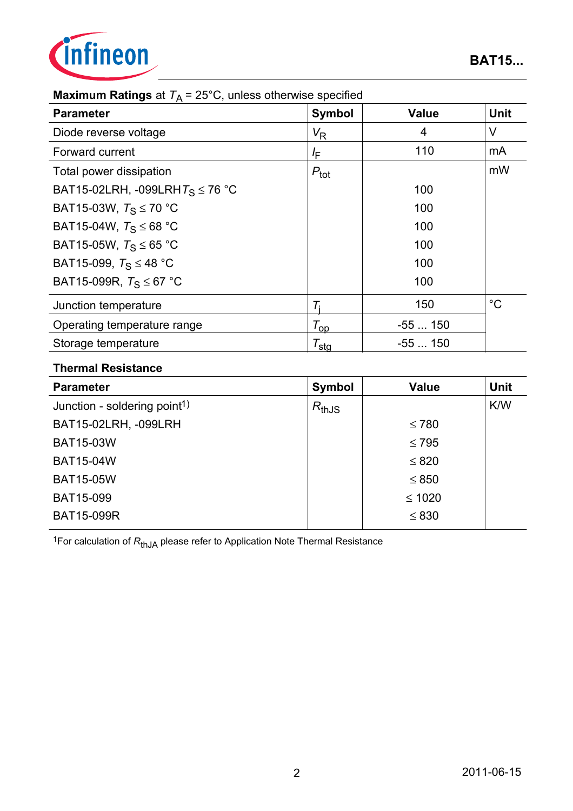

| <b>Maximum Ratings</b> at $T_A$ = 25°C, unless otherwise specified |  |
|--------------------------------------------------------------------|--|
|--------------------------------------------------------------------|--|

| <b>Parameter</b>                     | <b>Symbol</b>       | <b>Value</b> | <b>Unit</b> |
|--------------------------------------|---------------------|--------------|-------------|
| Diode reverse voltage                | $V_{\mathsf{R}}$    | 4            | V           |
| Forward current                      | l <sub>E</sub>      | 110          | mA          |
| Total power dissipation              | $P_{\text{tot}}$    |              | mW          |
| BAT15-02LRH, -099LRH $T_S \le 76$ °C |                     | 100          |             |
| BAT15-03W, $T_S \le 70$ °C           |                     | 100          |             |
| BAT15-04W, $T_S \le 68$ °C           |                     | 100          |             |
| BAT15-05W, $T_S \le 65$ °C           |                     | 100          |             |
| BAT15-099, $T_S \leq 48$ °C          |                     | 100          |             |
| BAT15-099R, $T_S \leq 67$ °C         |                     | 100          |             |
| Junction temperature                 |                     | 150          | $^{\circ}C$ |
| Operating temperature range          | $T_{op}$            | $-55150$     |             |
| Storage temperature                  | $\tau_{\text{sta}}$ | $-55150$     |             |

### **Thermal Resistance**

| <b>Symbol</b> | <b>Value</b> | <b>Unit</b> |
|---------------|--------------|-------------|
| $R_{thJS}$    |              | K/W         |
|               | $\leq 780$   |             |
|               | $\leq 795$   |             |
|               | $\leq 820$   |             |
|               | $\leq 850$   |             |
|               | $≤ 1020$     |             |
|               | $\leq 830$   |             |
|               |              |             |

1For calculation of *R*thJA please refer to Application Note Thermal Resistance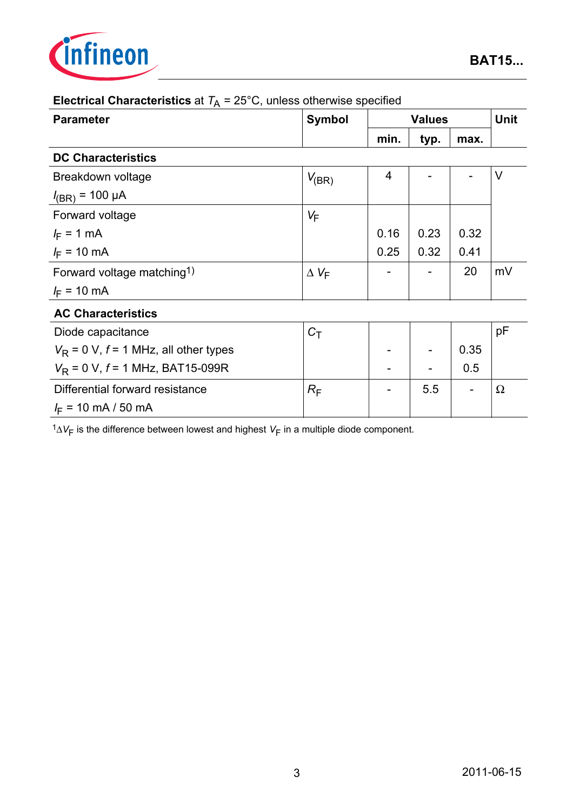

| <b>Parameter</b>                          | <b>Symbol</b>    | <b>Values</b> |      |      | <b>Unit</b> |
|-------------------------------------------|------------------|---------------|------|------|-------------|
|                                           |                  | min.          | typ. | max. |             |
| <b>DC Characteristics</b>                 |                  |               |      |      |             |
| Breakdown voltage                         | $V_{(BR)}$       | 4             |      |      | $\vee$      |
| $I_{(BR)}$ = 100 µA                       |                  |               |      |      |             |
| Forward voltage                           | $V_F$            |               |      |      |             |
| $I_F = 1$ mA                              |                  | 0.16          | 0.23 | 0.32 |             |
| $I_F = 10 \text{ mA}$                     |                  | 0.25          | 0.32 | 0.41 |             |
| Forward voltage matching <sup>1)</sup>    | $\Delta V_F$     |               |      | 20   | mV          |
| $I_F$ = 10 mA                             |                  |               |      |      |             |
| <b>AC Characteristics</b>                 |                  |               |      |      |             |
| Diode capacitance                         | $C_T$            |               |      |      | pF          |
| $V_R$ = 0 V, $f$ = 1 MHz, all other types |                  |               |      | 0.35 |             |
| $V_R$ = 0 V, $f$ = 1 MHz, BAT15-099R      |                  |               |      | 0.5  |             |
| Differential forward resistance           | $R_{\mathsf{F}}$ |               | 5.5  |      | $\Omega$    |
| $I_F$ = 10 mA / 50 mA                     |                  |               |      |      |             |

## **Electrical Characteristics** at  $T_A = 25^{\circ}$ C, unless otherwise specified

 $1\Delta V_F$  is the difference between lowest and highest  $V_F$  in a multiple diode component.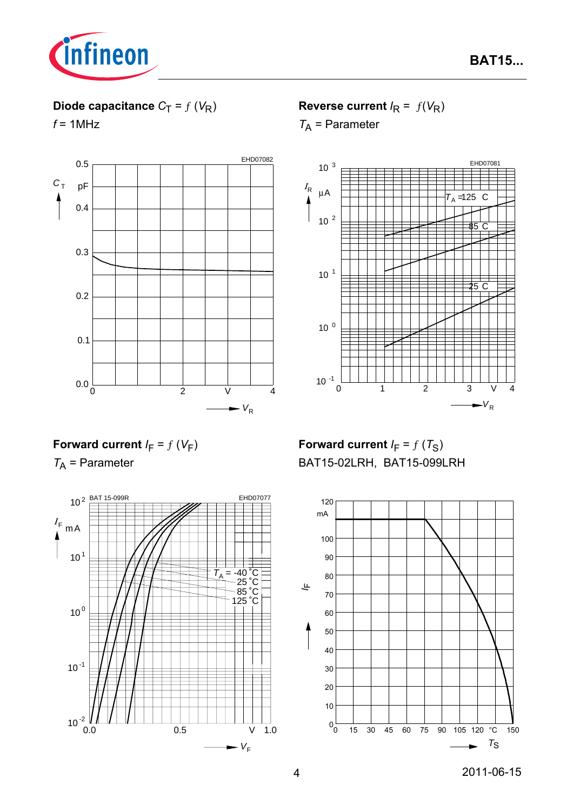

# **Diode capacitance**  $C_T = f(V_R)$

 $f = 1$ MHz



**Reverse current**  $I_R = f(V_R)$ 

*T*A = Parameter



## **Forward current**  $I_F = f(V_F)$

*T*A = Parameter



**Forward current**  $I_F = f(T_S)$ BAT15-02LRH, BAT15-099LRH

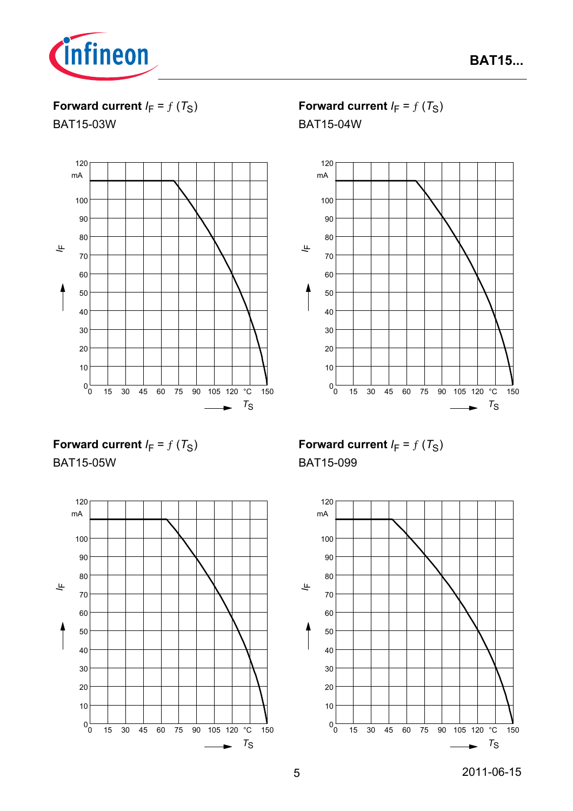

**Forward current**  $I_F = f(T_S)$ 

BAT15-03W



**Forward current**  $I_F = f(T_S)$ 

BAT15-04W



**Forward current**  $I_F = f(T_S)$ BAT15-05W



**Forward current**  $I_F = f(T_S)$ BAT15-099

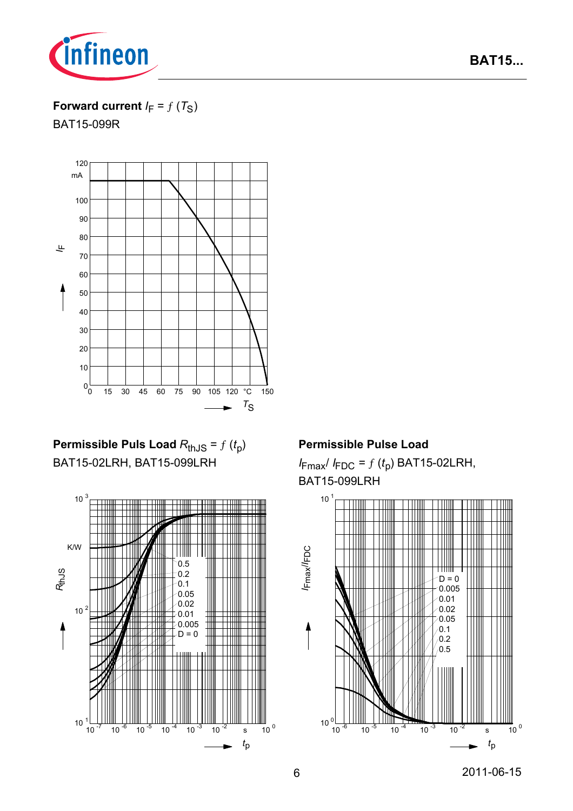

## **BAT15...**

### **Forward current**  $I_F = f(T_S)$

BAT15-099R



**Permissible Puls Load**  $R_{th,JS} = f(t_p)$ BAT15-02LRH, BAT15-099LRH



### **Permissible Pulse Load**

 $I_{\text{Fmax}}/I_{\text{FDC}} = f(t_p)$  BAT15-02LRH, BAT15-099LRH

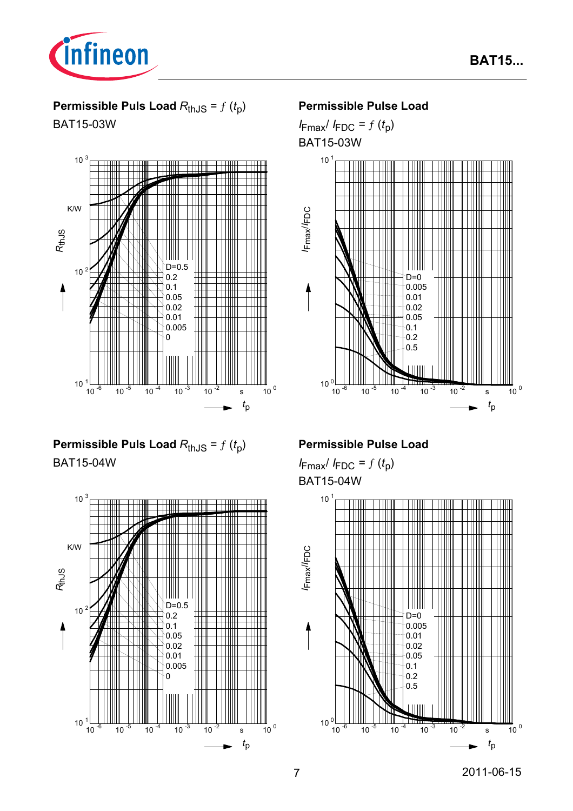

BAT15-03W



## **Permissible Puls Load**  $R_{th,JS} = f(t_0)$ BAT15-04W



### **Permissible Pulse Load**

 $I_{\text{Fmax}}/I_{\text{FDC}} = f(t_p)$ BAT15-03W



### **Permissible Pulse Load**

 $I_{\text{Fmax}}/I_{\text{FDC}} = f(t_p)$ BAT15-04W



# **BAT15...**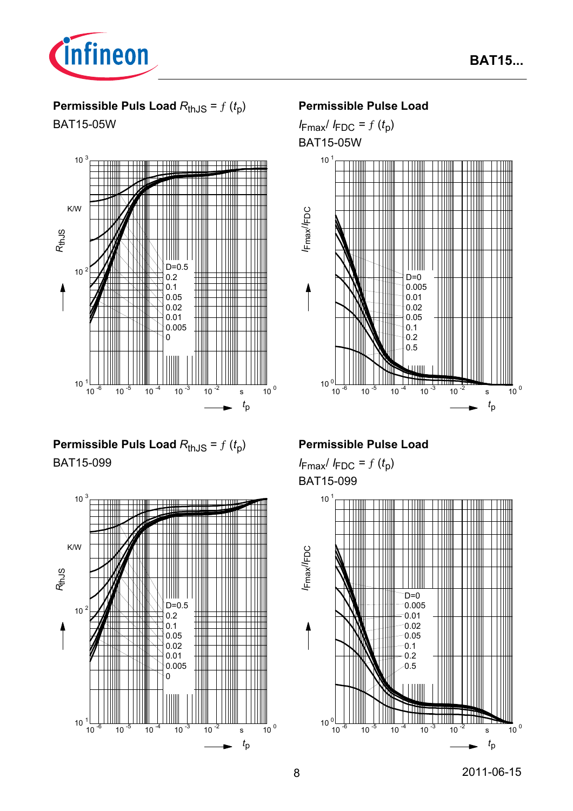

BAT15-05W



# **Permissible Puls Load**  $R_{th,JS} = f(t_0)$ BAT15-099



### **Permissible Pulse Load**

 $I_{\text{Fmax}}/I_{\text{FDC}} = f(t_p)$ BAT15-05W



### **Permissible Pulse Load**

 $I_{\text{Fmax}}/I_{\text{FDC}} = f(t_p)$ BAT15-099

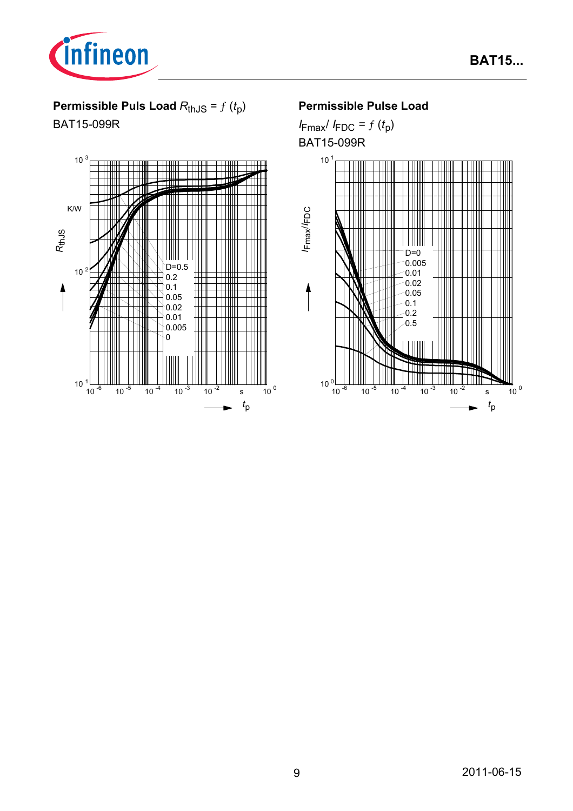

# **Permissible Puls Load**  $R_{th,JS} = f(t_p)$

BAT15-099R



### **Permissible Pulse Load**

 $I_{\text{Fmax}}/I_{\text{FDC}} = f(t_p)$ BAT15-099R

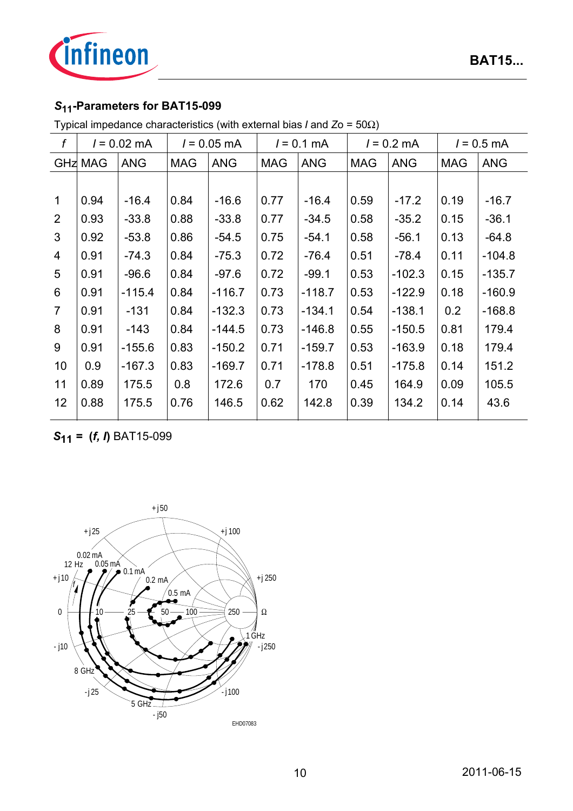

# *S***11-Parameters for BAT15-099**

| f              | $l = 0.02$ mA  |            |            | $l = 0.05$ mA | $l = 0.1$ mA |            |            | $l = 0.2$ mA | $l = 0.5$ mA |            |
|----------------|----------------|------------|------------|---------------|--------------|------------|------------|--------------|--------------|------------|
|                | <b>GHZ MAG</b> | <b>ANG</b> | <b>MAG</b> | <b>ANG</b>    | <b>MAG</b>   | <b>ANG</b> | <b>MAG</b> | <b>ANG</b>   | <b>MAG</b>   | <b>ANG</b> |
|                |                |            |            |               |              |            |            |              |              |            |
| $\mathbf{1}$   | 0.94           | $-16.4$    | 0.84       | $-16.6$       | 0.77         | $-16.4$    | 0.59       | $-17.2$      | 0.19         | $-16.7$    |
| 2              | 0.93           | $-33.8$    | 0.88       | $-33.8$       | 0.77         | $-34.5$    | 0.58       | $-35.2$      | 0.15         | $-36.1$    |
| $\mathbf{3}$   | 0.92           | $-53.8$    | 0.86       | $-54.5$       | 0.75         | $-54.1$    | 0.58       | $-56.1$      | 0.13         | $-64.8$    |
| 4              | 0.91           | $-74.3$    | 0.84       | $-75.3$       | 0.72         | $-76.4$    | 0.51       | $-78.4$      | 0.11         | $-104.8$   |
| 5              | 0.91           | $-96.6$    | 0.84       | $-97.6$       | 0.72         | $-99.1$    | 0.53       | $-102.3$     | 0.15         | $-135.7$   |
| 6              | 0.91           | $-115.4$   | 0.84       | $-116.7$      | 0.73         | $-118.7$   | 0.53       | $-122.9$     | 0.18         | $-160.9$   |
| $\overline{7}$ | 0.91           | $-131$     | 0.84       | $-132.3$      | 0.73         | $-134.1$   | 0.54       | $-138.1$     | 0.2          | $-168.8$   |
| 8              | 0.91           | $-143$     | 0.84       | $-144.5$      | 0.73         | $-146.8$   | 0.55       | $-150.5$     | 0.81         | 179.4      |
| 9              | 0.91           | $-155.6$   | 0.83       | $-150.2$      | 0.71         | $-159.7$   | 0.53       | $-163.9$     | 0.18         | 179.4      |
| 10             | 0.9            | $-167.3$   | 0.83       | $-169.7$      | 0.71         | $-178.8$   | 0.51       | $-175.8$     | 0.14         | 151.2      |
| 11             | 0.89           | 175.5      | 0.8        | 172.6         | 0.7          | 170        | 0.45       | 164.9        | 0.09         | 105.5      |
| 12             | 0.88           | 175.5      | 0.76       | 146.5         | 0.62         | 142.8      | 0.39       | 134.2        | 0.14         | 43.6       |

*S***11** *=* **(***f, I***)** BAT15-099

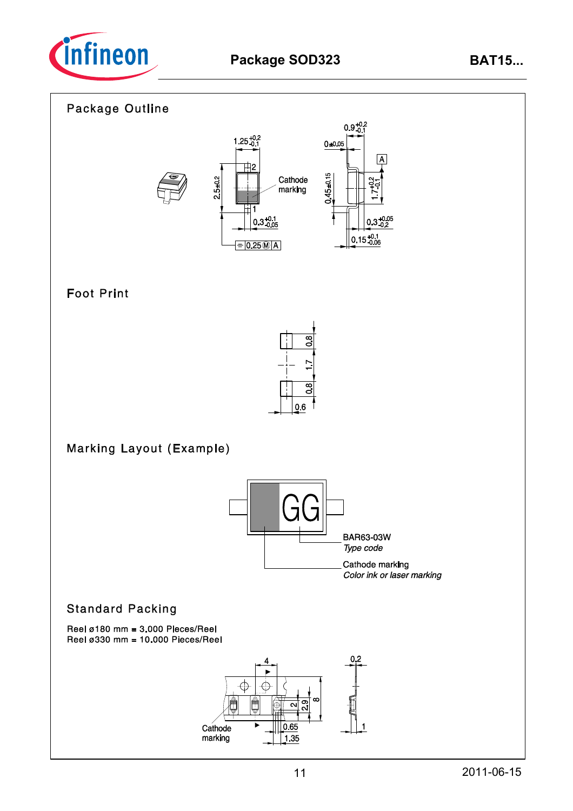

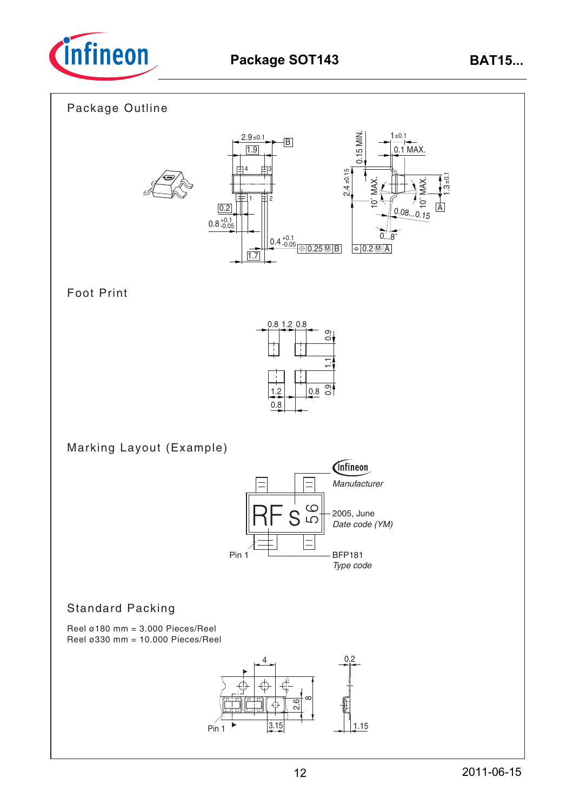

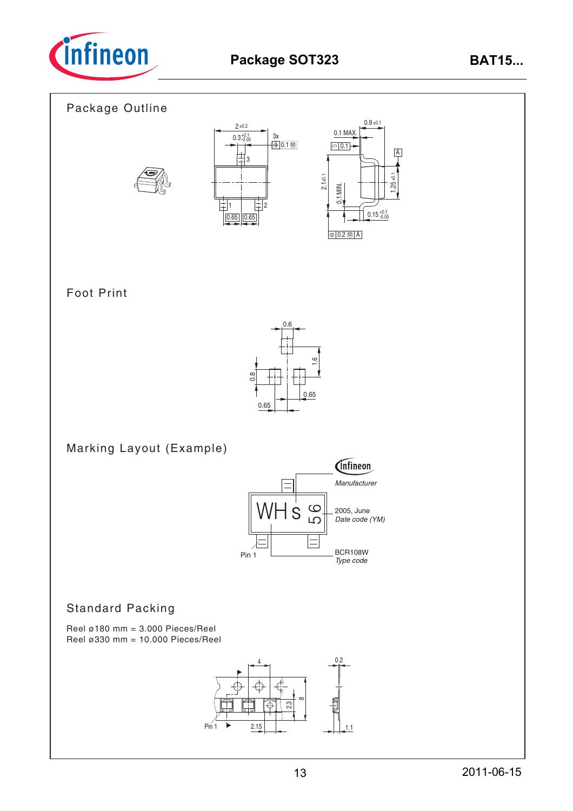

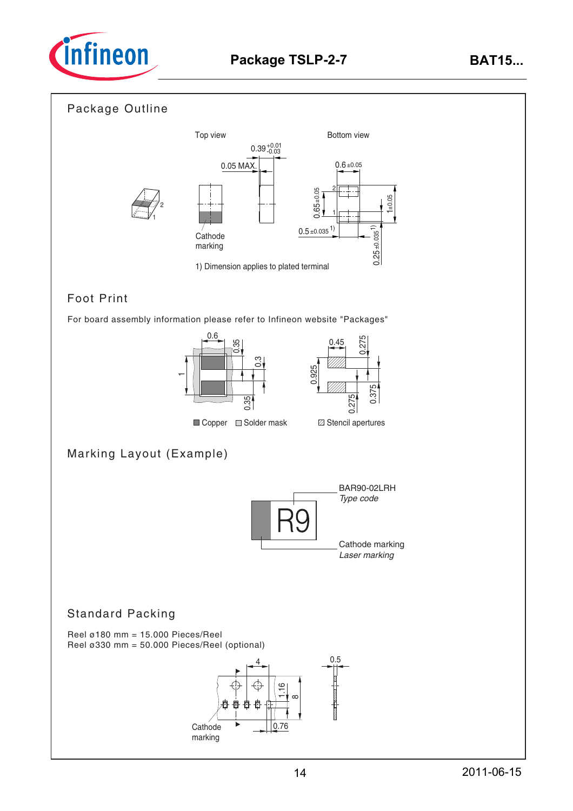

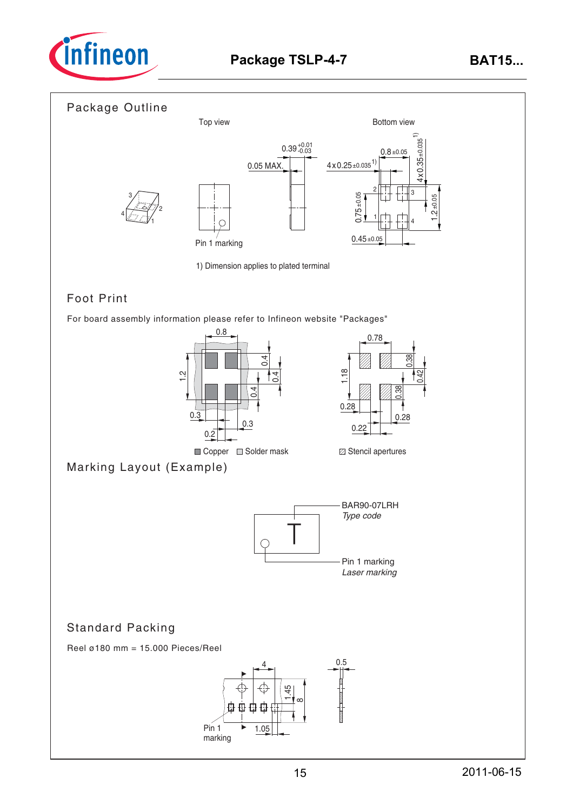